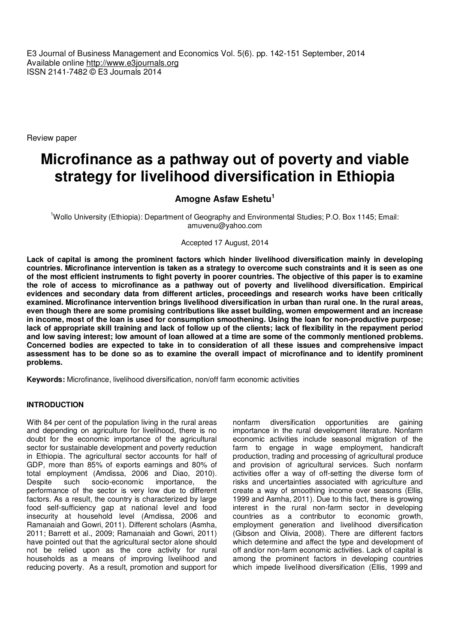E3 Journal of Business Management and Economics Vol. 5(6). pp. 142-151 September, 2014 Available online http://www.e3journals.org ISSN 2141-7482 © E3 Journals 2014

Review paper

# **Microfinance as a pathway out of poverty and viable strategy for livelihood diversification in Ethiopia**

**Amogne Asfaw Eshetu<sup>1</sup>**

<sup>1</sup>Wollo University (Ethiopia): Department of Geography and Environmental Studies; P.O. Box 1145; Email: amuvenu@yahoo.com

## Accepted 17 August, 2014

**Lack of capital is among the prominent factors which hinder livelihood diversification mainly in developing countries. Microfinance intervention is taken as a strategy to overcome such constraints and it is seen as one of the most efficient instruments to fight poverty in poorer countries. The objective of this paper is to examine the role of access to microfinance as a pathway out of poverty and livelihood diversification. Empirical evidences and secondary data from different articles, proceedings and research works have been critically examined. Microfinance intervention brings livelihood diversification in urban than rural one. In the rural areas, even though there are some promising contributions like asset building, women empowerment and an increase in income, most of the loan is used for consumption smoothening. Using the loan for non-productive purpose; lack of appropriate skill training and lack of follow up of the clients; lack of flexibility in the repayment period and low saving interest; low amount of loan allowed at a time are some of the commonly mentioned problems. Concerned bodies are expected to take in to consideration of all these issues and comprehensive impact assessment has to be done so as to examine the overall impact of microfinance and to identify prominent problems.** 

**Keywords:** Microfinance, livelihood diversification, non/off farm economic activities

#### **INTRODUCTION**

With 84 per cent of the population living in the rural areas and depending on agriculture for livelihood, there is no doubt for the economic importance of the agricultural sector for sustainable development and poverty reduction in Ethiopia. The agricultural sector accounts for half of GDP, more than 85% of exports earnings and 80% of total employment (Amdissa, 2006 and Diao, 2010). Despite such socio-economic importance, the performance of the sector is very low due to different factors. As a result, the country is characterized by large food self-sufficiency gap at national level and food insecurity at household level (Amdissa, 2006 and Ramanaiah and Gowri, 2011). Different scholars (Asmha, 2011; Barrett et al., 2009; Ramanaiah and Gowri, 2011) have pointed out that the agricultural sector alone should not be relied upon as the core activity for rural households as a means of improving livelihood and reducing poverty. As a result, promotion and support for

nonfarm diversification opportunities are gaining importance in the rural development literature. Nonfarm economic activities include seasonal migration of the farm to engage in wage employment, handicraft production, trading and processing of agricultural produce and provision of agricultural services. Such nonfarm activities offer a way of off-setting the diverse form of risks and uncertainties associated with agriculture and create a way of smoothing income over seasons (Ellis, 1999 and Asmha, 2011). Due to this fact, there is growing interest in the rural non-farm sector in developing countries as a contributor to economic growth, employment generation and livelihood diversification (Gibson and Olivia, 2008). There are different factors which determine and affect the type and development of off and/or non-farm economic activities. Lack of capital is among the prominent factors in developing countries which impede livelihood diversification (Ellis, 1999 and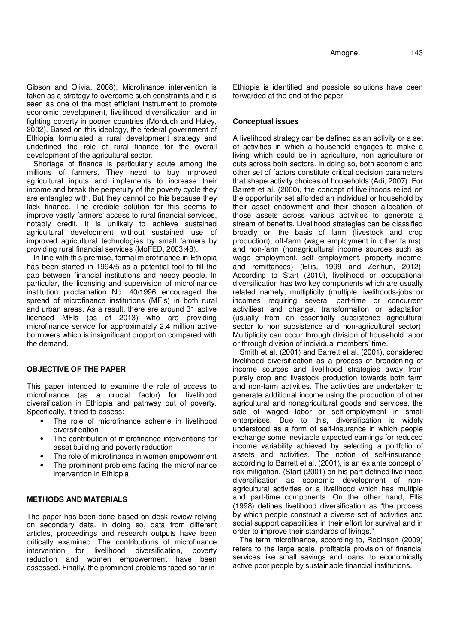Gibson and Olivia, 2008). Microfinance intervention is taken as a strategy to overcome such constraints and it is seen as one of the most efficient instrument to promote economic development, livelihood diversification and in fighting poverty in poorer countries (Morduch and Haley, 2002). Based on this ideology, the federal government of Ethiopia formulated a rural development strategy and underlined the role of rural finance for the overall development of the agricultural sector.

Shortage of finance is particularly acute among the millions of farmers. They need to buy improved agricultural inputs and implements to increase their income and break the perpetuity of the poverty cycle they are entangled with. But they cannot do this because they lack finance. The credible solution for this seems to improve vastly farmers' access to rural financial services, notably credit. It is unlikely to achieve sustained agricultural development without sustained use of improved agricultural technologies by small farmers by providing rural financial services (MoFED, 2003:48).

In line with this premise, formal microfinance in Ethiopia has been started in 1994/5 as a potential tool to fill the gap between financial institutions and needy people. In particular, the licensing and supervision of microfinance institution proclamation No. 40/1996 encouraged the spread of microfinance institutions (MFIs) in both rural and urban areas. As a result, there are around 31 active licensed MFIs (as of 2013) who are providing microfinance service for approximately 2.4 million active borrowers which is insignificant proportion compared with the demand.

# **OBJECTIVE OF THE PAPER**

This paper intended to examine the role of access to microfinance (as a crucial factor) for livelihood diversification in Ethiopia and pathway out of poverty. Specifically, it tried to assess:

- The role of microfinance scheme in livelihood diversification
- The contribution of microfinance interventions for asset building and poverty reduction
- The role of microfinance in women empowerment
- The prominent problems facing the microfinance intervention in Ethiopia

# **METHODS AND MATERIALS**

The paper has been done based on desk review relying on secondary data. In doing so, data from different articles, proceedings and research outputs have been critically examined. The contributions of microfinance intervention for livelihood diversification, poverty reduction and women empowerment have been assessed. Finally, the prominent problems faced so far in

Ethiopia is identified and possible solutions have been forwarded at the end of the paper.

#### **Conceptual issues**

A livelihood strategy can be defined as an activity or a set of activities in which a household engages to make a living which could be in agriculture, non agriculture or cuts across both sectors. In doing so, both economic and other set of factors constitute critical decision parameters that shape activity choices of households (Adi, 2007). For Barrett et al. (2000), the concept of livelihoods relied on the opportunity set afforded an individual or household by their asset endowment and their chosen allocation of those assets across various activities to generate a stream of benefits. Livelihood strategies can be classified broadly on the basis of farm (livestock and crop production), off-farm (wage employment in other farms), and non-farm (nonagricultural income sources such as wage employment, self employment, property income, and remittances) (Ellis, 1999 and Zerihun, 2012). According to Start (2010), livelihood or occupational diversification has two key components which are usually related namely, multiplicity (multiple livelihoods-jobs or incomes requiring several part-time or concurrent activities) and change, transformation or adaptation (usually from an essentially subsistence agricultural sector to non subsistence and non-agricultural sector). Multiplicity can occur through division of household labor or through division of individual members' time.

Smith et al. (2001) and Barrett et al. (2001), considered livelihood diversification as a process of broadening of income sources and livelihood strategies away from purely crop and livestock production towards both farm and non-farm activities. The activities are undertaken to generate additional income using the production of other agricultural and nonagricultural goods and services, the sale of waged labor or self-employment in small enterprises. Due to this, diversification is widely understood as a form of self-insurance in which people exchange some inevitable expected earnings for reduced income variability achieved by selecting a portfolio of assets and activities. The notion of self-insurance, according to Barrett et al. (2001), is an ex ante concept of risk mitigation. (Start (2001) on his part defined livelihood diversification as economic development of nonagricultural activities or a livelihood which has multiple and part-time components. On the other hand, Ellis (1998) defines livelihood diversification as "the process by which people construct a diverse set of activities and social support capabilities in their effort for survival and in order to improve their standards of livings."

The term microfinance, according to, Robinson (2009) refers to the large scale, profitable provision of financial services like small savings and loans, to economically active poor people by sustainable financial institutions.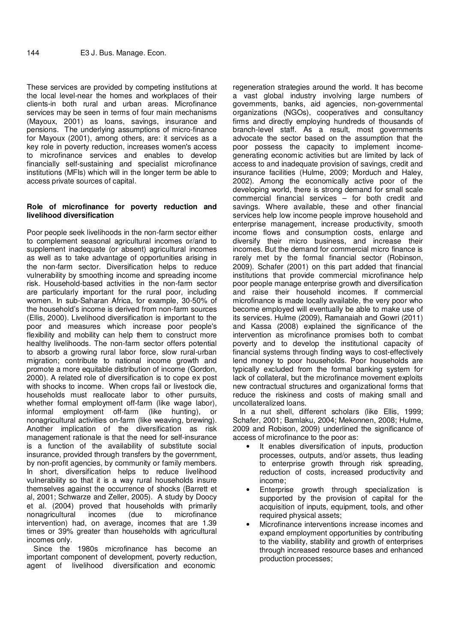These services are provided by competing institutions at the local level-near the homes and workplaces of their clients-in both rural and urban areas. Microfinance services may be seen in terms of four main mechanisms (Mayoux, 2001) as loans, savings, insurance and pensions. The underlying assumptions of micro-finance for Mayoux (2001), among others, are: it services as a key role in poverty reduction, increases women's access to microfinance services and enables to develop financially self-sustaining and specialist microfinance institutions (MFIs) which will in the longer term be able to access private sources of capital.

## **Role of microfinance for poverty reduction and livelihood diversification**

Poor people seek livelihoods in the non-farm sector either to complement seasonal agricultural incomes or/and to supplement inadequate (or absent) agricultural incomes as well as to take advantage of opportunities arising in the non-farm sector. Diversification helps to reduce vulnerability by smoothing income and spreading income risk. Household-based activities in the non-farm sector are particularly important for the rural poor, including women. In sub-Saharan Africa, for example, 30-50% of the household's income is derived from non-farm sources (Ellis, 2000). Livelihood diversification is important to the poor and measures which increase poor people's flexibility and mobility can help them to construct more healthy livelihoods. The non-farm sector offers potential to absorb a growing rural labor force, slow rural-urban migration; contribute to national income growth and promote a more equitable distribution of income (Gordon, 2000). A related role of diversification is to cope ex post with shocks to income. When crops fail or livestock die, households must reallocate labor to other pursuits, whether formal employment off-farm (like wage labor), informal employment off-farm (like hunting), or nonagricultural activities on-farm (like weaving, brewing). Another implication of the diversification as risk management rationale is that the need for self-insurance is a function of the availability of substitute social insurance, provided through transfers by the government, by non-profit agencies, by community or family members. In short, diversification helps to reduce livelihood vulnerability so that it is a way rural households insure themselves against the occurrence of shocks (Barrett et al, 2001; Schwarze and Zeller, 2005). A study by Doocy et al. (2004) proved that households with primarily nonagricultural incomes (due to microfinance intervention) had, on average, incomes that are 1.39 times or 39% greater than households with agricultural incomes only.

Since the 1980s microfinance has become an important component of development, poverty reduction, agent of livelihood diversification and economic

regeneration strategies around the world. It has become a vast global industry involving large numbers of governments, banks, aid agencies, non-governmental organizations (NGOs), cooperatives and consultancy firms and directly employing hundreds of thousands of branch-level staff. As a result, most governments advocate the sector based on the assumption that the poor possess the capacity to implement incomegenerating economic activities but are limited by lack of access to and inadequate provision of savings, credit and insurance facilities (Hulme, 2009; Morduch and Haley, 2002). Among the economically active poor of the developing world, there is strong demand for small scale commercial financial services – for both credit and savings. Where available, these and other financial services help low income people improve household and enterprise management, increase productivity, smooth income flows and consumption costs, enlarge and diversify their micro business, and increase their incomes. But the demand for commercial micro finance is rarely met by the formal financial sector (Robinson, 2009). Schafer (2001) on this part added that financial institutions that provide commercial microfinance help poor people manage enterprise growth and diversification and raise their household incomes. If commercial microfinance is made locally available, the very poor who become employed will eventually be able to make use of its services. Hulme (2009), Ramanaiah and Gowri (2011) and Kassa (2008) explained the significance of the intervention as microfinance promises both to combat poverty and to develop the institutional capacity of financial systems through finding ways to cost-effectively lend money to poor households. Poor households are typically excluded from the formal banking system for lack of collateral, but the microfinance movement exploits new contractual structures and organizational forms that reduce the riskiness and costs of making small and uncollateralized loans.

In a nut shell, different scholars (like Ellis, 1999; Schafer, 2001; Bamlaku, 2004; Mekonnen, 2008; Hulme, 2009 and Robison, 2009) underlined the significance of access of microfinance to the poor as:

- It enables diversification of inputs, production processes, outputs, and/or assets, thus leading to enterprise growth through risk spreading, reduction of costs, increased productivity and income;
- Enterprise growth through specialization is supported by the provision of capital for the acquisition of inputs, equipment, tools, and other required physical assets;
- Microfinance interventions increase incomes and expand employment opportunities by contributing to the viability, stability and growth of enterprises through increased resource bases and enhanced production processes;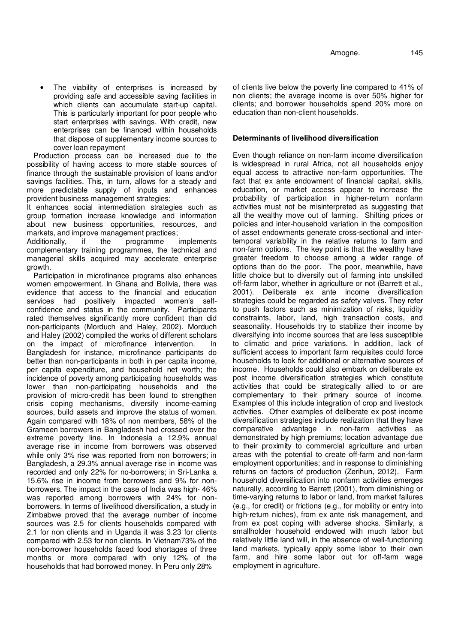The viability of enterprises is increased by providing safe and accessible saving facilities in which clients can accumulate start-up capital. This is particularly important for poor people who start enterprises with savings. With credit, new enterprises can be financed within households that dispose of supplementary income sources to cover loan repayment

Production process can be increased due to the possibility of having access to more stable sources of finance through the sustainable provision of loans and/or savings facilities. This, in turn, allows for a steady and more predictable supply of inputs and enhances provident business management strategies;

It enhances social intermediation strategies such as group formation increase knowledge and information about new business opportunities, resources, and markets, and improve management practices;

Additionally, if the programme implements complementary training programmes, the technical and managerial skills acquired may accelerate enterprise growth.

Participation in microfinance programs also enhances women empowerment. In Ghana and Bolivia, there was evidence that access to the financial and education services had positively impacted women's selfconfidence and status in the community. Participants rated themselves significantly more confident than did non-participants (Morduch and Haley, 2002). Morduch and Haley (2002) compiled the works of different scholars on the impact of microfinance intervention. In Bangladesh for instance, microfinance participants do better than non-participants in both in per capita income, per capita expenditure, and household net worth; the incidence of poverty among participating households was lower than non-participating households and the provision of micro-credit has been found to strengthen crisis coping mechanisms, diversify income-earning sources, build assets and improve the status of women. Again compared with 18% of non members, 58% of the Grameen borrowers in Bangladesh had crossed over the extreme poverty line. In Indonesia a 12.9% annual average rise in income from borrowers was observed while only 3% rise was reported from non borrowers; in Bangladesh, a 29.3% annual average rise in income was recorded and only 22% for no-borrowers; in Sri-Lanka a 15.6% rise in income from borrowers and 9% for nonborrowers. The impact in the case of India was high- 46% was reported among borrowers with 24% for nonborrowers. In terms of livelihood diversification, a study in Zimbabwe proved that the average number of income sources was 2.5 for clients households compared with 2.1 for non clients and in Uganda it was 3.23 for clients compared with 2.53 for non clients. In Vietnam73% of the non-borrower households faced food shortages of three months or more compared with only 12% of the households that had borrowed money. In Peru only 28%

of clients live below the poverty line compared to 41% of non clients; the average income is over 50% higher for clients; and borrower households spend 20% more on education than non-client households.

# **Determinants of livelihood diversification**

Even though reliance on non-farm income diversification is widespread in rural Africa, not all households enjoy equal access to attractive non-farm opportunities. The fact that ex ante endowment of financial capital, skills, education, or market access appear to increase the probability of participation in higher-return nonfarm activities must not be misinterpreted as suggesting that all the wealthy move out of farming. Shifting prices or policies and inter-household variation in the composition of asset endowments generate cross-sectional and intertemporal variability in the relative returns to farm and non-farm options. The key point is that the wealthy have greater freedom to choose among a wider range of options than do the poor. The poor, meanwhile, have little choice but to diversify out of farming into unskilled off-farm labor, whether in agriculture or not (Barrett et al., 2001). Deliberate ex ante income diversification strategies could be regarded as safety valves. They refer to push factors such as minimization of risks, liquidity constraints, labor, land, high transaction costs, and seasonality. Households try to stabilize their income by diversifying into income sources that are less susceptible to climatic and price variations. In addition, lack of sufficient access to important farm requisites could force households to look for additional or alternative sources of income. Households could also embark on deliberate ex post income diversification strategies which constitute activities that could be strategically allied to or are complementary to their primary source of income. Examples of this include integration of crop and livestock activities. Other examples of deliberate ex post income diversification strategies include realization that they have comparative advantage in non-farm activities as demonstrated by high premiums; location advantage due to their proximity to commercial agriculture and urban areas with the potential to create off-farm and non-farm employment opportunities; and in response to diminishing returns on factors of production (Zerihun, 2012). Farm household diversification into nonfarm activities emerges naturally, according to Barrett (2001), from diminishing or time-varying returns to labor or land, from market failures (e.g., for credit) or frictions (e.g., for mobility or entry into high-return niches), from ex ante risk management, and from ex post coping with adverse shocks. Similarly, a smallholder household endowed with much labor but relatively little land will, in the absence of well-functioning land markets, typically apply some labor to their own farm, and hire some labor out for off-farm wage employment in agriculture.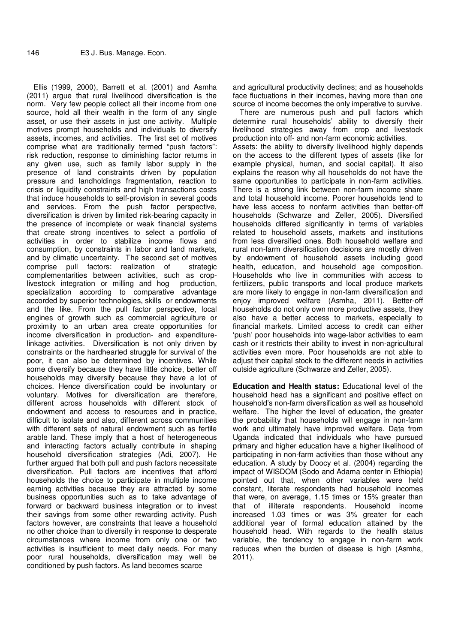Ellis (1999, 2000), Barrett et al. (2001) and Asmha (2011) argue that rural livelihood diversification is the norm. Very few people collect all their income from one source, hold all their wealth in the form of any single asset, or use their assets in just one activity. Multiple motives prompt households and individuals to diversify assets, incomes, and activities. The first set of motives comprise what are traditionally termed "push factors": risk reduction, response to diminishing factor returns in any given use, such as family labor supply in the presence of land constraints driven by population pressure and landholdings fragmentation, reaction to crisis or liquidity constraints and high transactions costs that induce households to self-provision in several goods and services. From the push factor perspective, diversification is driven by limited risk-bearing capacity in the presence of incomplete or weak financial systems that create strong incentives to select a portfolio of activities in order to stabilize income flows and consumption, by constraints in labor and land markets, and by climatic uncertainty. The second set of motives comprise pull factors: realization of strategic complementarities between activities, such as croplivestock integration or milling and hog production, specialization according to comparative advantage accorded by superior technologies, skills or endowments and the like. From the pull factor perspective, local engines of growth such as commercial agriculture or proximity to an urban area create opportunities for income diversification in production- and expenditurelinkage activities. Diversification is not only driven by constraints or the hardhearted struggle for survival of the poor, it can also be determined by incentives. While some diversify because they have little choice, better off households may diversify because they have a lot of choices. Hence diversification could be involuntary or voluntary. Motives for diversification are therefore, different across households with different stock of endowment and access to resources and in practice, difficult to isolate and also, different across communities with different sets of natural endowment such as fertile arable land. These imply that a host of heterogeneous and interacting factors actually contribute in shaping household diversification strategies (Adi, 2007). He further argued that both pull and push factors necessitate diversification. Pull factors are incentives that afford households the choice to participate in multiple income earning activities because they are attracted by some business opportunities such as to take advantage of forward or backward business integration or to invest their savings from some other rewarding activity. Push factors however, are constraints that leave a household no other choice than to diversify in response to desperate circumstances where income from only one or two activities is insufficient to meet daily needs. For many poor rural households, diversification may well be conditioned by push factors. As land becomes scarce

and agricultural productivity declines; and as households face fluctuations in their incomes, having more than one source of income becomes the only imperative to survive.

There are numerous push and pull factors which determine rural households' ability to diversify their livelihood strategies away from crop and livestock production into off- and non-farm economic activities. Assets: the ability to diversify livelihood highly depends on the access to the different types of assets (like for example physical, human, and social capital). It also explains the reason why all households do not have the same opportunities to participate in non-farm activities. There is a strong link between non-farm income share and total household income. Poorer households tend to have less access to nonfarm activities than better-off households (Schwarze and Zeller, 2005). Diversified households differed significantly in terms of variables related to household assets, markets and institutions from less diversified ones. Both household welfare and rural non-farm diversification decisions are mostly driven by endowment of household assets including good health, education, and household age composition. Households who live in communities with access to fertilizers, public transports and local produce markets are more likely to engage in non-farm diversification and enjoy improved welfare (Asmha, 2011). Better-off households do not only own more productive assets, they also have a better access to markets, especially to financial markets. Limited access to credit can either 'push' poor households into wage-labor activities to earn cash or it restricts their ability to invest in non-agricultural activities even more. Poor households are not able to adjust their capital stock to the different needs in activities outside agriculture (Schwarze and Zeller, 2005).

**Education and Health status:** Educational level of the household head has a significant and positive effect on household's non-farm diversification as well as household welfare. The higher the level of education, the greater the probability that households will engage in non-farm work and ultimately have improved welfare. Data from Uganda indicated that individuals who have pursued primary and higher education have a higher likelihood of participating in non-farm activities than those without any education. A study by Doocy et al. (2004) regarding the impact of WISDOM (Sodo and Adama center in Ethiopia) pointed out that, when other variables were held constant, literate respondents had household incomes that were, on average, 1.15 times or 15% greater than that of illiterate respondents. Household income increased 1.03 times or was 3% greater for each additional year of formal education attained by the household head. With regards to the health status variable, the tendency to engage in non-farm work reduces when the burden of disease is high (Asmha, 2011).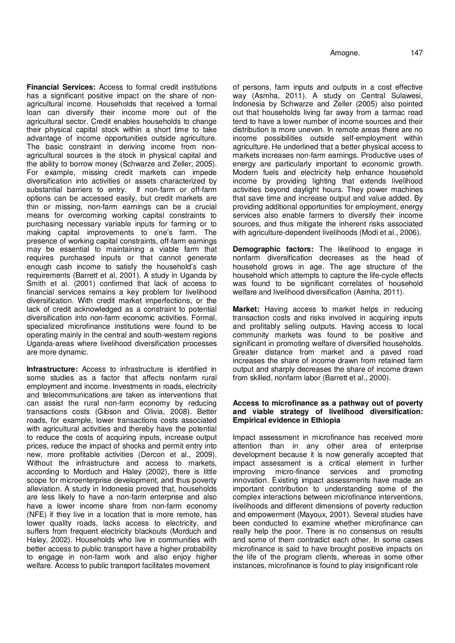**Financial Services:** Access to formal credit institutions has a significant positive impact on the share of nonagricultural income. Households that received a formal loan can diversify their income more out of the agricultural sector. Credit enables households to change their physical capital stock within a short time to take advantage of income opportunities outside agriculture. The basic constraint in deriving income from nonagricultural sources is the stock in physical capital and the ability to borrow money (Schwarze and Zeller, 2005). For example, missing credit markets can impede diversification into activities or assets characterized by substantial barriers to entry. If non-farm or off-farm options can be accessed easily, but credit markets are thin or missing, non-farm earnings can be a crucial means for overcoming working capital constraints to purchasing necessary variable inputs for farming or to making capital improvements to one's farm. The presence of working capital constraints, off-farm earnings may be essential to maintaining a viable farm that requires purchased inputs or that cannot generate enough cash income to satisfy the household's cash requirements (Barrett et al, 2001). A study in Uganda by Smith et al. (2001) confirmed that lack of access to financial services remains a key problem for livelihood diversification. With credit market imperfections, or the lack of credit acknowledged as a constraint to potential diversification into non-farm economic activities. Formal, specialized microfinance institutions were found to be operating mainly in the central and south-western regions Uganda-areas where livelihood diversification processes are more dynamic.

**Infrastructure:** Access to infrastructure is identified in some studies as a factor that affects nonfarm rural employment and income. Investments in roads, electricity and telecommunications are taken as interventions that can assist the rural non-farm economy by reducing transactions costs (Gibson and Olivia, 2008). Better roads, for example, lower transactions costs associated with agricultural activities and thereby have the potential to reduce the costs of acquiring inputs, increase output prices, reduce the impact of shocks and permit entry into new, more profitable activities (Dercon et al., 2009). Without the infrastructure and access to markets, according to Morduch and Haley (2002), there is little scope for microenterprise development, and thus poverty alleviation. A study in Indonesia proved that, households are less likely to have a non-farm enterprise and also have a lower income share from non-farm economy (NFE) if they live in a location that is more remote, has lower quality roads, lacks access to electricity, and suffers from frequent electricity blackouts (Morduch and Haley, 2002). Households who live in communities with better access to public transport have a higher probability to engage in non-farm work and also enjoy higher welfare. Access to public transport facilitates movement

of persons, farm inputs and outputs in a cost effective way (Asmha, 2011). A study on Central Sulawesi, Indonesia by Schwarze and Zeller (2005) also pointed out that households living far away from a tarmac road tend to have a lower number of income sources and their distribution is more uneven. In remote areas there are no income possibilities outside self-employment within agriculture. He underlined that a better physical access to markets increases non-farm earnings. Productive uses of energy are particularly important to economic growth. Modern fuels and electricity help enhance household income by providing lighting that extends livelihood activities beyond daylight hours. They power machines that save time and increase output and value added. By providing additional opportunities for employment, energy services also enable farmers to diversify their income sources, and thus mitigate the inherent risks associated with agriculture-dependent livelihoods (Modi et al., 2006).

**Demographic factors:** The likelihood to engage in nonfarm diversification decreases as the head of household grows in age. The age structure of the household which attempts to capture the life-cycle effects was found to be significant correlates of household welfare and livelihood diversification (Asmha, 2011).

**Market:** Having access to market helps in reducing transaction costs and risks involved in acquiring inputs and profitably selling outputs. Having access to local community markets was found to be positive and significant in promoting welfare of diversified households. Greater distance from market and a paved road increases the share of income drawn from retained farm output and sharply decreases the share of income drawn from skilled, nonfarm labor (Barrett et al., 2000).

## **Access to microfinance as a pathway out of poverty and viable strategy of livelihood diversification: Empirical evidence in Ethiopia**

Impact assessment in microfinance has received more attention than in any other area of enterprise development because it is now generally accepted that impact assessment is a critical element in further services and promoting innovation. Existing impact assessments have made an important contribution to understanding some of the complex interactions between microfinance interventions, livelihoods and different dimensions of poverty reduction and empowerment (Mayoux, 2001). Several studies have been conducted to examine whether microfinance can really help the poor. There is no consensus on results and some of them contradict each other. In some cases microfinance is said to have brought positive impacts on the life of the program clients, whereas in some other instances, microfinance is found to play insignificant role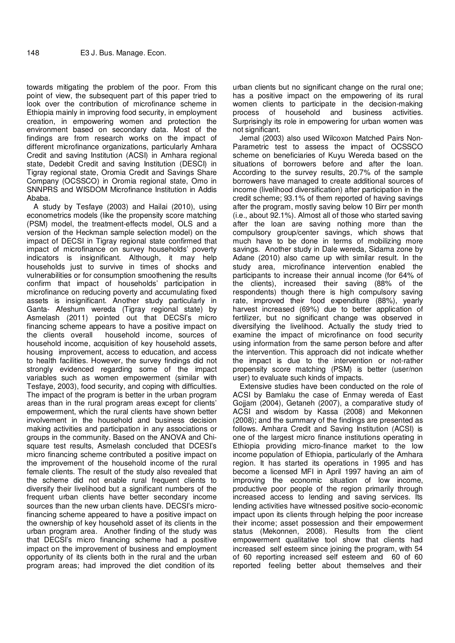towards mitigating the problem of the poor. From this point of view, the subsequent part of this paper tried to look over the contribution of microfinance scheme in Ethiopia mainly in improving food security, in employment creation, in empowering women and protection the environment based on secondary data. Most of the findings are from research works on the impact of different microfinance organizations, particularly Amhara Credit and saving Institution (ACSI) in Amhara regional state, Dedebit Credit and saving Institution (DESCI) in Tigray regional state, Oromia Credit and Savings Share Company (OCSSCO) in Oromia regional state, Omo in SNNPRS and WISDOM Microfinance Institution in Addis Ababa.

A study by Tesfaye (2003) and Hailai (2010), using econometrics models (like the propensity score matching (PSM) model, the treatment-effects model, OLS and a version of the Heckman sample selection model) on the impact of DECSI in Tigray regional state confirmed that impact of microfinance on survey households' poverty indicators is insignificant. Although, it may help households just to survive in times of shocks and vulnerabilities or for consumption smoothening the results confirm that impact of households' participation in microfinance on reducing poverty and accumulating fixed assets is insignificant. Another study particularly in Ganta- Afeshum wereda (Tigray regional state) by Asmelash (2011) pointed out that DECSI's micro financing scheme appears to have a positive impact on the clients overall bousehold income, sources of household income, sources of household income, acquisition of key household assets, housing improvement, access to education, and access to health facilities. However, the survey findings did not strongly evidenced regarding some of the impact variables such as women empowerment (similar with Tesfaye, 2003), food security, and coping with difficulties. The impact of the program is better in the urban program areas than in the rural program areas except for clients' empowerment, which the rural clients have shown better involvement in the household and business decision making activities and participation in any associations or groups in the community. Based on the ANOVA and Chisquare test results, Asmelash concluded that DCESI's micro financing scheme contributed a positive impact on the improvement of the household income of the rural female clients. The result of the study also revealed that the scheme did not enable rural frequent clients to diversify their livelihood but a significant numbers of the frequent urban clients have better secondary income sources than the new urban clients have. DECSI's microfinancing scheme appeared to have a positive impact on the ownership of key household asset of its clients in the urban program area. Another finding of the study was that DECSI's micro financing scheme had a positive impact on the improvement of business and employment opportunity of its clients both in the rural and the urban program areas; had improved the diet condition of its

urban clients but no significant change on the rural one; has a positive impact on the empowering of its rural women clients to participate in the decision-making process of household and business activities. Surprisingly its role in empowering for urban women was not significant.

Jemal (2003) also used Wilcoxon Matched Pairs Non-Parametric test to assess the impact of OCSSCO scheme on beneficiaries of Kuyu Wereda based on the situations of borrowers before and after the loan. According to the survey results, 20.7% of the sample borrowers have managed to create additional sources of income (livelihood diversification) after participation in the credit scheme; 93.1% of them reported of having savings after the program, mostly saving below 10 Birr per month (i.e., about 92.1%). Almost all of those who started saving after the loan are saving nothing more than the compulsory group/center savings, which shows that much have to be done in terms of mobilizing more savings. Another study in Dale wereda, Sidama zone by Adane (2010) also came up with similar result. In the study area, microfinance intervention enabled the participants to increase their annual income (for 64% of the clients), increased their saving (88% of the respondents) though there is high compulsory saving rate, improved their food expenditure (88%), yearly harvest increased (69%) due to better application of fertilizer, but no significant change was observed in diversifying the livelihood. Actually the study tried to examine the impact of microfinance on food security using information from the same person before and after the intervention. This approach did not indicate whether the impact is due to the intervention or not-rather propensity score matching (PSM) is better (user/non user) to evaluate such kinds of impacts.

Extensive studies have been conducted on the role of ACSI by Bamlaku the case of Enmay wereda of East Gojjam (2004), Getaneh (2007), a comparative study of ACSI and wisdom by Kassa (2008) and Mekonnen (2008); and the summary of the findings are presented as follows. Amhara Credit and Saving Institution (ACSI) is one of the largest micro finance institutions operating in Ethiopia providing micro-finance market to the low income population of Ethiopia, particularly of the Amhara region. It has started its operations in 1995 and has become a licensed MFI in April 1997 having an aim of improving the economic situation of low income, productive poor people of the region primarily through increased access to lending and saving services. Its lending activities have witnessed positive socio-economic impact upon its clients through helping the poor increase their income; asset possession and their empowerment status (Mekonnen, 2008). Results from the client empowerment qualitative tool show that clients had increased self esteem since joining the program, with 54 of 60 reporting increased self esteem and 60 of 60 reported feeling better about themselves and their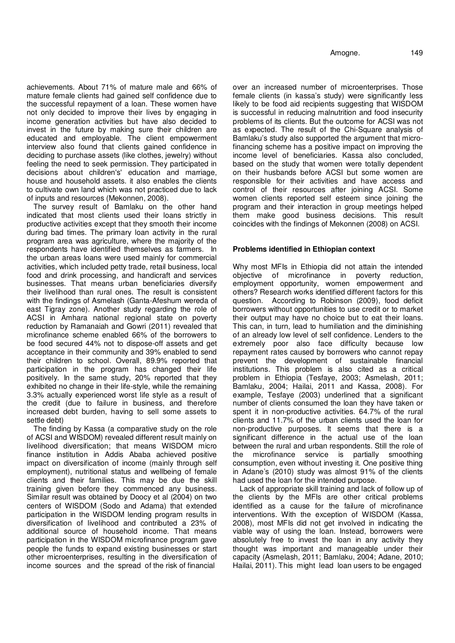achievements. About 71% of mature male and 66% of mature female clients had gained self confidence due to the successful repayment of a loan. These women have not only decided to improve their lives by engaging in income generation activities but have also decided to invest in the future by making sure their children are educated and employable. The client empowerment interview also found that clients gained confidence in deciding to purchase assets (like clothes, jewelry) without feeling the need to seek permission. They participated in decisions about children's' education and marriage, house and household assets. it also enables the clients to cultivate own land which was not practiced due to lack of inputs and resources (Mekonnen, 2008).

The survey result of Bamlaku on the other hand indicated that most clients used their loans strictly in productive activities except that they smooth their income during bad times. The primary loan activity in the rural program area was agriculture, where the majority of the respondents have identified themselves as farmers. In the urban areas loans were used mainly for commercial activities, which included petty trade, retail business, local food and drink processing, and handicraft and services businesses. That means urban beneficiaries diversify their livelihood than rural ones. The result is consistent with the findings of Asmelash (Ganta-Afeshum wereda of east Tigray zone). Another study regarding the role of ACSI in Amhara national regional state on poverty reduction by Ramanaiah and Gowri (2011) revealed that microfinance scheme enabled 66% of the borrowers to be food secured 44% not to dispose-off assets and get acceptance in their community and 39% enabled to send their children to school. Overall, 89.9% reported that participation in the program has changed their life positively. In the same study, 20% reported that they exhibited no change in their life-style, while the remaining 3.3% actually experienced worst life style as a result of the credit (due to failure in business, and therefore increased debt burden, having to sell some assets to settle debt)

The finding by Kassa (a comparative study on the role of ACSI and WISDOM) revealed different result mainly on livelihood diversification; that means WISDOM micro finance institution in Addis Ababa achieved positive impact on diversification of income (mainly through self employment), nutritional status and wellbeing of female clients and their families. This may be due the skill training given before they commenced any business. Similar result was obtained by Doocy et al (2004) on two centers of WISDOM (Sodo and Adama) that extended participation in the WISDOM lending program results in diversification of livelihood and contributed a 23% of additional source of household income. That means participation in the WISDOM microfinance program gave people the funds to expand existing businesses or start other microenterprises, resulting in the diversification of income sources and the spread of the risk of financial

over an increased number of microenterprises. Those female clients (in kassa's study) were significantly less likely to be food aid recipients suggesting that WISDOM is successful in reducing malnutrition and food insecurity problems of its clients. But the outcome for ACSI was not as expected. The result of the Chi-Square analysis of Bamlaku's study also supported the argument that microfinancing scheme has a positive impact on improving the income level of beneficiaries. Kassa also concluded, based on the study that women were totally dependent on their husbands before ACSI but some women are responsible for their activities and have access and control of their resources after joining ACSI. Some women clients reported self esteem since joining the program and their interaction in group meetings helped them make good business decisions. This result coincides with the findings of Mekonnen (2008) on ACSI.

#### **Problems identified in Ethiopian context**

Why most MFIs in Ethiopia did not attain the intended objective of microfinance in poverty reduction, employment opportunity, women empowerment and others? Research works identified different factors for this question. According to Robinson (2009), food deficit borrowers without opportunities to use credit or to market their output may have no choice but to eat their loans. This can, in turn, lead to humiliation and the diminishing of an already low level of self confidence. Lenders to the extremely poor also face difficulty because low repayment rates caused by borrowers who cannot repay prevent the development of sustainable financial institutions. This problem is also cited as a critical problem in Ethiopia (Tesfaye, 2003; Asmelash, 2011; Bamlaku, 2004; Hailai, 2011 and Kassa, 2008). For example, Tesfaye (2003) underlined that a significant number of clients consumed the loan they have taken or spent it in non-productive activities. 64.7% of the rural clients and 11.7% of the urban clients used the loan for non-productive purposes. It seems that there is a significant difference in the actual use of the loan between the rural and urban respondents. Still the role of the microfinance service is partially smoothing consumption, even without investing it. One positive thing in Adane's (2010) study was almost 91% of the clients had used the loan for the intended purpose.

Lack of appropriate skill training and lack of follow up of the clients by the MFIs are other critical problems identified as a cause for the failure of microfinance interventions. With the exception of WISDOM (Kassa, 2008), most MFIs did not get involved in indicating the viable way of using the loan. Instead, borrowers were absolutely free to invest the loan in any activity they thought was important and manageable under their capacity (Asmelash, 2011; Bamlaku, 2004; Adane, 2010; Hailai, 2011). This might lead loan users to be engaged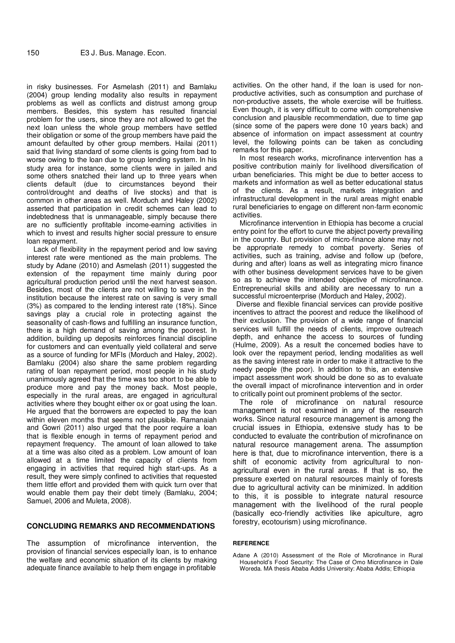in risky businesses. For Asmelash (2011) and Bamlaku (2004) group lending modality also results in repayment problems as well as conflicts and distrust among group members. Besides, this system has resulted financial problem for the users, since they are not allowed to get the next loan unless the whole group members have settled their obligation or some of the group members have paid the amount defaulted by other group members. Hailai (2011) said that living standard of some clients is going from bad to worse owing to the loan due to group lending system. In his study area for instance, some clients were in jailed and some others snatched their land up to three years when clients default (due to circumstances beyond their control/drought and deaths of live stocks) and that is common in other areas as well. Morduch and Haley (2002) asserted that participation in credit schemes can lead to indebtedness that is unmanageable, simply because there are no sufficiently profitable income-earning activities in which to invest and results higher social pressure to ensure loan repayment.

Lack of flexibility in the repayment period and low saving interest rate were mentioned as the main problems. The study by Adane (2010) and Asmelash (2011) suggested the extension of the repayment time mainly during poor agricultural production period until the next harvest season. Besides, most of the clients are not willing to save in the institution because the interest rate on saving is very small (3%) as compared to the lending interest rate (18%). Since savings play a crucial role in protecting against the seasonality of cash-flows and fulfilling an insurance function, there is a high demand of saving among the poorest. In addition, building up deposits reinforces financial discipline for customers and can eventually yield collateral and serve as a source of funding for MFIs (Morduch and Haley, 2002). Bamlaku (2004) also share the same problem regarding rating of loan repayment period, most people in his study unanimously agreed that the time was too short to be able to produce more and pay the money back. Most people, especially in the rural areas, are engaged in agricultural activities where they bought either ox or goat using the loan. He argued that the borrowers are expected to pay the loan within eleven months that seems not plausible. Ramanaiah and Gowri (2011) also urged that the poor require a loan that is flexible enough in terms of repayment period and repayment frequency. The amount of loan allowed to take at a time was also cited as a problem. Low amount of loan allowed at a time limited the capacity of clients from engaging in activities that required high start-ups. As a result, they were simply confined to activities that requested them little effort and provided them with quick turn over that would enable them pay their debt timely (Bamlaku, 2004; Samuel, 2006 and Muleta, 2008).

#### **CONCLUDING REMARKS AND RECOMMENDATIONS**

The assumption of microfinance intervention, the provision of financial services especially loan, is to enhance the welfare and economic situation of its clients by making adequate finance available to help them engage in profitable

activities. On the other hand, if the loan is used for nonproductive activities, such as consumption and purchase of non-productive assets, the whole exercise will be fruitless. Even though, it is very difficult to come with comprehensive conclusion and plausible recommendation, due to time gap (since some of the papers were done 10 years back) and absence of information on impact assessment at country level, the following points can be taken as concluding remarks for this paper.

In most research works, microfinance intervention has a positive contribution mainly for livelihood diversification of urban beneficiaries. This might be due to better access to markets and information as well as better educational status of the clients. As a result, markets integration and infrastructural development in the rural areas might enable rural beneficiaries to engage on different non-farm economic activities.

Microfinance intervention in Ethiopia has become a crucial entry point for the effort to curve the abject poverty prevailing in the country. But provision of micro-finance alone may not be appropriate remedy to combat poverty. Series of activities, such as training, advise and follow up (before, during and after) loans as well as integrating micro finance with other business development services have to be given so as to achieve the intended objective of microfinance. Entrepreneurial skills and ability are necessary to run a successful microenterprise (Morduch and Haley, 2002).

Diverse and flexible financial services can provide positive incentives to attract the poorest and reduce the likelihood of their exclusion. The provision of a wide range of financial services will fulfill the needs of clients, improve outreach depth, and enhance the access to sources of funding (Hulme, 2009). As a result the concerned bodies have to look over the repayment period, lending modalities as well as the saving interest rate in order to make it attractive to the needy people (the poor). In addition to this, an extensive impact assessment work should be done so as to evaluate the overall impact of microfinance intervention and in order to critically point out prominent problems of the sector.

The role of microfinance on natural resource management is not examined in any of the research works. Since natural resource management is among the crucial issues in Ethiopia, extensive study has to be conducted to evaluate the contribution of microfinance on natural resource management arena. The assumption here is that, due to microfinance intervention, there is a shift of economic activity from agricultural to nonagricultural even in the rural areas. If that is so, the pressure exerted on natural resources mainly of forests due to agricultural activity can be minimized. In addition to this, it is possible to integrate natural resource management with the livelihood of the rural people (basically eco-friendly activities like apiculture, agro forestry, ecotourism) using microfinance.

#### **REFERENCE**

Adane A (2010) Assessment of the Role of Microfinance in Rural Household's Food Security: The Case of Omo Microfinance in Dale Woreda. MA thesis Ababa Addis University: Ababa Addis; Ethiopia